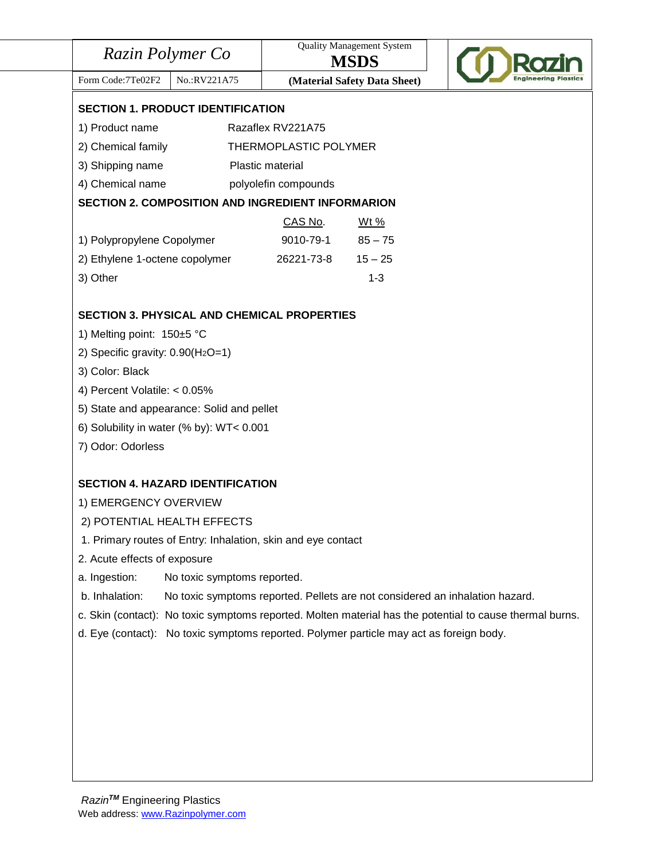| Razin Polymer Co                                                                                         |                       | <b>Quality Management System</b><br><b>MSDS</b> |  |  |
|----------------------------------------------------------------------------------------------------------|-----------------------|-------------------------------------------------|--|--|
| Form Code: 7Te02F2<br>No.:RV221A75                                                                       |                       | (Material Safety Data Sheet)                    |  |  |
| <b>SECTION 1. PRODUCT IDENTIFICATION</b>                                                                 |                       |                                                 |  |  |
| 1) Product name<br>Razaflex RV221A75                                                                     |                       |                                                 |  |  |
| 2) Chemical family                                                                                       | THERMOPLASTIC POLYMER |                                                 |  |  |
| 3) Shipping name                                                                                         | Plastic material      |                                                 |  |  |
| 4) Chemical name                                                                                         | polyolefin compounds  |                                                 |  |  |
| <b>SECTION 2. COMPOSITION AND INGREDIENT INFORMARION</b>                                                 |                       |                                                 |  |  |
|                                                                                                          | CAS No.               | <u>Wt %</u>                                     |  |  |
| 1) Polypropylene Copolymer                                                                               | 9010-79-1             | $85 - 75$                                       |  |  |
| 2) Ethylene 1-octene copolymer                                                                           | 26221-73-8            | $15 - 25$                                       |  |  |
| 3) Other                                                                                                 |                       | $1 - 3$                                         |  |  |
| <b>SECTION 3. PHYSICAL AND CHEMICAL PROPERTIES</b>                                                       |                       |                                                 |  |  |
| 1) Melting point: 150±5 °C                                                                               |                       |                                                 |  |  |
| 2) Specific gravity: $0.90(H_2O=1)$                                                                      |                       |                                                 |  |  |
| 3) Color: Black                                                                                          |                       |                                                 |  |  |
| 4) Percent Volatile: < 0.05%                                                                             |                       |                                                 |  |  |
| 5) State and appearance: Solid and pellet                                                                |                       |                                                 |  |  |
| 6) Solubility in water (% by): WT< 0.001                                                                 |                       |                                                 |  |  |
| 7) Odor: Odorless                                                                                        |                       |                                                 |  |  |
| <b>SECTION 4. HAZARD IDENTIFICATION</b>                                                                  |                       |                                                 |  |  |
| 1) EMERGENCY OVERVIEW                                                                                    |                       |                                                 |  |  |
| 2) POTENTIAL HEALTH EFFECTS                                                                              |                       |                                                 |  |  |
| 1. Primary routes of Entry: Inhalation, skin and eye contact                                             |                       |                                                 |  |  |
| 2. Acute effects of exposure                                                                             |                       |                                                 |  |  |
| a. Ingestion:<br>No toxic symptoms reported.                                                             |                       |                                                 |  |  |
|                                                                                                          |                       |                                                 |  |  |
| b. Inhalation:<br>No toxic symptoms reported. Pellets are not considered an inhalation hazard.           |                       |                                                 |  |  |
| c. Skin (contact): No toxic symptoms reported. Molten material has the potential to cause thermal burns. |                       |                                                 |  |  |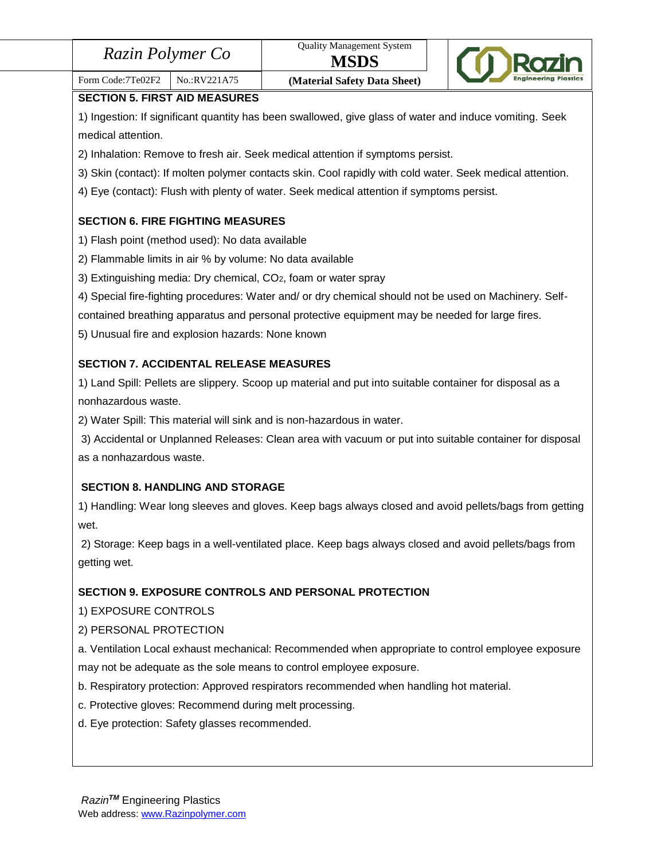| Razin Polymer Co |  |
|------------------|--|
|------------------|--|



# Form Code:7Te02F2 | No.:RV221A75 | **(Material Safety Data Sheet)**

**SECTION 5. FIRST AID MEASURES**

1) Ingestion: If significant quantity has been swallowed, give glass of water and induce vomiting. Seek medical attention.

2) Inhalation: Remove to fresh air. Seek medical attention if symptoms persist.

3) Skin (contact): If molten polymer contacts skin. Cool rapidly with cold water. Seek medical attention.

4) Eye (contact): Flush with plenty of water. Seek medical attention if symptoms persist.

## **SECTION 6. FIRE FIGHTING MEASURES**

- 1) Flash point (method used): No data available
- 2) Flammable limits in air % by volume: No data available
- 3) Extinguishing media: Dry chemical, CO2, foam or water spray
- 4) Special fire-fighting procedures: Water and/ or dry chemical should not be used on Machinery. Self-

contained breathing apparatus and personal protective equipment may be needed for large fires.

5) Unusual fire and explosion hazards: None known

## **SECTION 7. ACCIDENTAL RELEASE MEASURES**

1) Land Spill: Pellets are slippery. Scoop up material and put into suitable container for disposal as a nonhazardous waste.

2) Water Spill: This material will sink and is non-hazardous in water.

3) Accidental or Unplanned Releases: Clean area with vacuum or put into suitable container for disposal as a nonhazardous waste.

## **SECTION 8. HANDLING AND STORAGE**

1) Handling: Wear long sleeves and gloves. Keep bags always closed and avoid pellets/bags from getting wet.

2) Storage: Keep bags in a well-ventilated place. Keep bags always closed and avoid pellets/bags from getting wet.

## **SECTION 9. EXPOSURE CONTROLS AND PERSONAL PROTECTION**

1) EXPOSURE CONTROLS

## 2) PERSONAL PROTECTION

a. Ventilation Local exhaust mechanical: Recommended when appropriate to control employee exposure may not be adequate as the sole means to control employee exposure.

- b. Respiratory protection: Approved respirators recommended when handling hot material.
- c. Protective gloves: Recommend during melt processing.
- d. Eye protection: Safety glasses recommended.